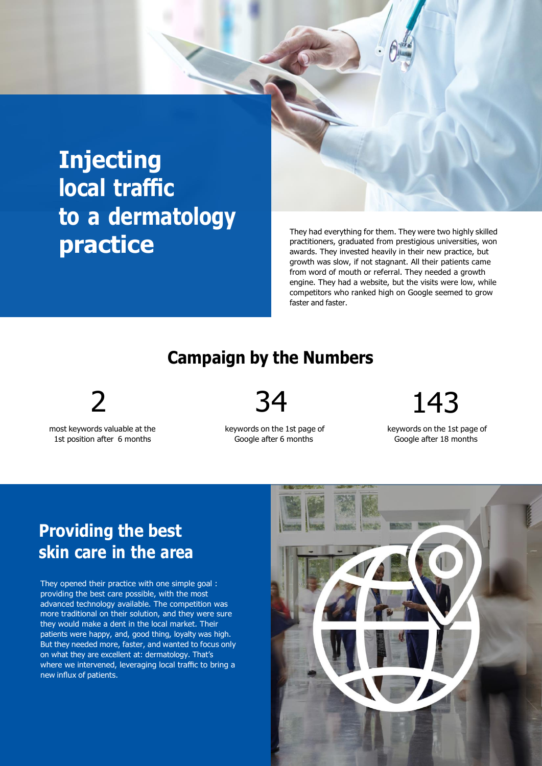# **Injecting local traffic to a dermatology practice**

They had everything for them. They were two highly skilled practitioners, graduated from prestigious universities, won awards. They invested heavily in their new practice, but growth was slow, if not stagnant. All their patients came from word of mouth or referral. They needed a growth engine. They had a website, but the visits were low, while competitors who ranked high on Google seemed to grow faster and faster.

### **Campaign by the Numbers**

most keywords valuable at the 1st position after 6 months

keywords on the 1st page of Google after 6 months

2 34 143

keywords on the 1st page of Google after 18 months

### **Providing the best skin care in the area**

They opened their practice with one simple goal : providing the best care possible, with the most advanced technology available. The competition was more traditional on their solution, and they were sure they would make a dent in the local market. Their patients were happy, and, good thing, loyalty was high. But they needed more, faster, and wanted to focus only on what they are excellent at: dermatology. That's where we intervened, leveraging local traffic to bring a new influx of patients.

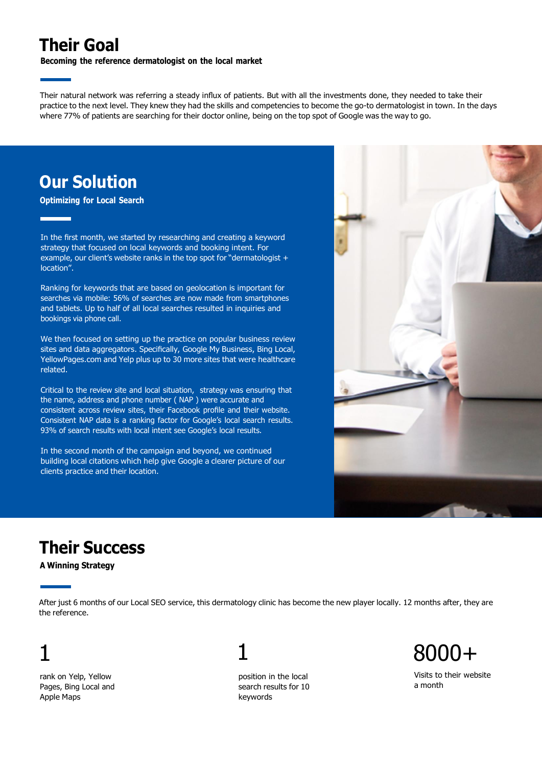## **Their Goal**

**Becoming the reference dermatologist on the local market**

Their natural network was referring a steady influx of patients. But with all the investments done, they needed to take their practice to the next level. They knew they had the skills and competencies to become the go-to dermatologist in town. In the days where 77% of patients are searching for their doctor online, being on the top spot of Google was the way to go.

## **Our Solution**

**Optimizing for Local Search**

In the first month, we started by researching and creating a keyword strategy that focused on local keywords and booking intent. For example, our client's website ranks in the top spot for "dermatologist + location".

Ranking for keywords that are based on geolocation is important for searches via mobile: 56% of searches are now made from smartphones and tablets. Up to half of all local searches resulted in inquiries and bookings via phone call.

We then focused on setting up the practice on popular business review sites and data aggregators. Specifically, Google My Business, Bing Local, YellowPages.com and Yelp plus up to 30 more sites that were healthcare related.

Critical to the review site and local situation, strategy was ensuring that the name, address and phone number ( NAP ) were accurate and consistent across review sites, their Facebook profile and their website. Consistent NAP data is a ranking factor for Google's local search results. 93% of search results with local intent see Google's local results.

In the second month of the campaign and beyond, we continued building local citations which help give Google a clearer picture of our clients practice and their location.



## **Their Success**

**A Winning Strategy**

After just 6 months of our Local SEO service, this dermatology clinic has become the new player locally. 12 months after, they are the reference.

# 1

rank on Yelp, Yellow Pages, Bing Local and Apple Maps

1

position in the local search results for 10 keywords

8000+

Visits to their website a month